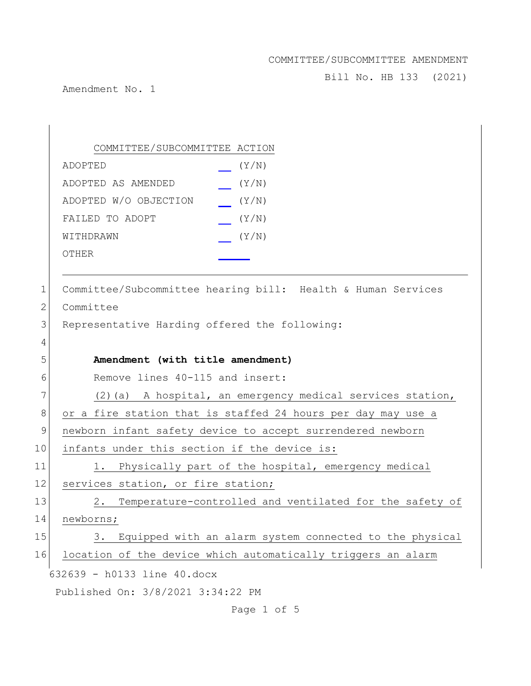Bill No. HB 133 (2021)

Amendment No. 1

|               | COMMITTEE/SUBCOMMITTEE ACTION                                 |
|---------------|---------------------------------------------------------------|
|               | (Y/N)<br>ADOPTED                                              |
|               | ADOPTED AS AMENDED<br>(Y/N)                                   |
|               | ADOPTED W/O OBJECTION<br>(Y/N)                                |
|               | FAILED TO ADOPT<br>(Y/N)                                      |
|               | (Y/N)<br>WITHDRAWN                                            |
|               | OTHER                                                         |
|               |                                                               |
| $\mathbf 1$   | Committee/Subcommittee hearing bill: Health & Human Services  |
| $\mathbf{2}$  | Committee                                                     |
| 3             | Representative Harding offered the following:                 |
| 4             |                                                               |
| 5             | Amendment (with title amendment)                              |
| 6             | Remove lines 40-115 and insert:                               |
| 7             | (2) (a) A hospital, an emergency medical services station,    |
| 8             | or a fire station that is staffed 24 hours per day may use a  |
| $\mathcal{G}$ | newborn infant safety device to accept surrendered newborn    |
| 10            | infants under this section if the device is:                  |
| 11            | 1. Physically part of the hospital, emergency medical         |
| 12            | services station, or fire station;                            |
| 13            | Temperature-controlled and ventilated for the safety of<br>2. |
| 14            | newborns;                                                     |
| 15            | 3. Equipped with an alarm system connected to the physical    |
| 16            | location of the device which automatically triggers an alarm  |
|               | 632639 - h0133 line 40.docx                                   |
|               | Published On: 3/8/2021 3:34:22 PM                             |
|               |                                                               |

Page 1 of 5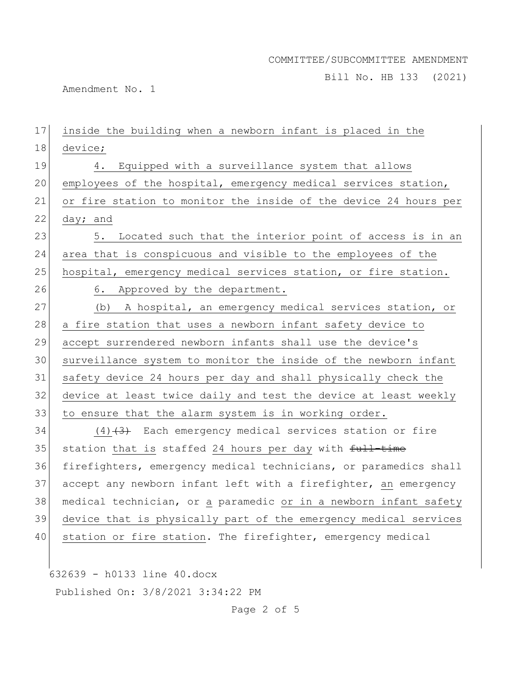Bill No. HB 133 (2021)

Amendment No. 1

| 17 | inside the building when a newborn infant is placed in the       |
|----|------------------------------------------------------------------|
| 18 | device;                                                          |
| 19 | Equipped with a surveillance system that allows<br>4.            |
| 20 | employees of the hospital, emergency medical services station,   |
| 21 | or fire station to monitor the inside of the device 24 hours per |
| 22 | day; and                                                         |
| 23 | Located such that the interior point of access is in an<br>5.    |
| 24 | area that is conspicuous and visible to the employees of the     |
| 25 | hospital, emergency medical services station, or fire station.   |
| 26 | 6. Approved by the department.                                   |
| 27 | (b) A hospital, an emergency medical services station, or        |
| 28 | a fire station that uses a newborn infant safety device to       |
| 29 | accept surrendered newborn infants shall use the device's        |
| 30 | surveillance system to monitor the inside of the newborn infant  |
| 31 | safety device 24 hours per day and shall physically check the    |
| 32 | device at least twice daily and test the device at least weekly  |
| 33 | to ensure that the alarm system is in working order.             |
| 34 | $(4)$ $(3)$ Each emergency medical services station or fire      |
| 35 | station that is staffed 24 hours per day with full-time          |
| 36 | firefighters, emergency medical technicians, or paramedics shall |
| 37 | accept any newborn infant left with a firefighter, an emergency  |
| 38 | medical technician, or a paramedic or in a newborn infant safety |
| 39 | device that is physically part of the emergency medical services |
| 40 | station or fire station. The firefighter, emergency medical      |
|    |                                                                  |
|    | 632639 - h0133 line 40.docx                                      |
|    | Published On: 3/8/2021 3:34:22 PM                                |

Page 2 of 5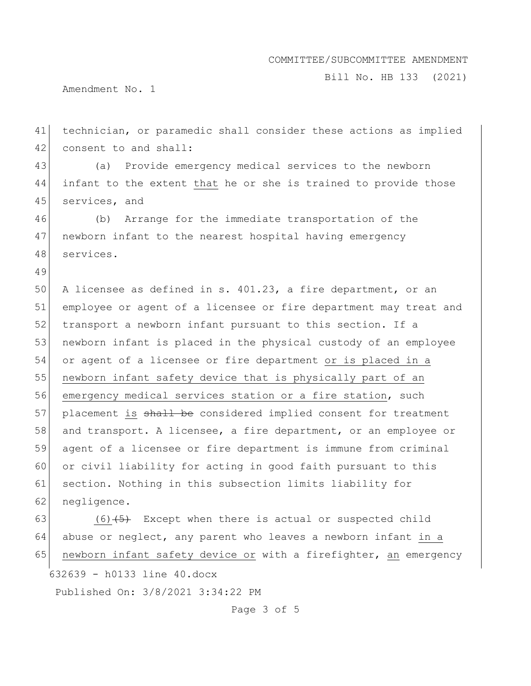Bill No. HB 133 (2021)

Amendment No. 1

49

41 technician, or paramedic shall consider these actions as implied 42 consent to and shall:

43 (a) Provide emergency medical services to the newborn 44 infant to the extent that he or she is trained to provide those 45 services, and

46 (b) Arrange for the immediate transportation of the 47 newborn infant to the nearest hospital having emergency 48 services.

50 A licensee as defined in s. 401.23, a fire department, or an 51 employee or agent of a licensee or fire department may treat and 52 transport a newborn infant pursuant to this section. If a 53 newborn infant is placed in the physical custody of an employee 54 or agent of a licensee or fire department or is placed in a 55 newborn infant safety device that is physically part of an 56 emergency medical services station or a fire station, such 57 placement is shall be considered implied consent for treatment 58 and transport. A licensee, a fire department, or an employee or 59 agent of a licensee or fire department is immune from criminal 60 or civil liability for acting in good faith pursuant to this 61 section. Nothing in this subsection limits liability for 62 negligence.

632639 - h0133 line 40.docx Published On: 3/8/2021 3:34:22 PM 63 (6) $\left(5\right)$  Except when there is actual or suspected child 64 abuse or neglect, any parent who leaves a newborn infant in a 65 newborn infant safety device or with a firefighter, an emergency

Page 3 of 5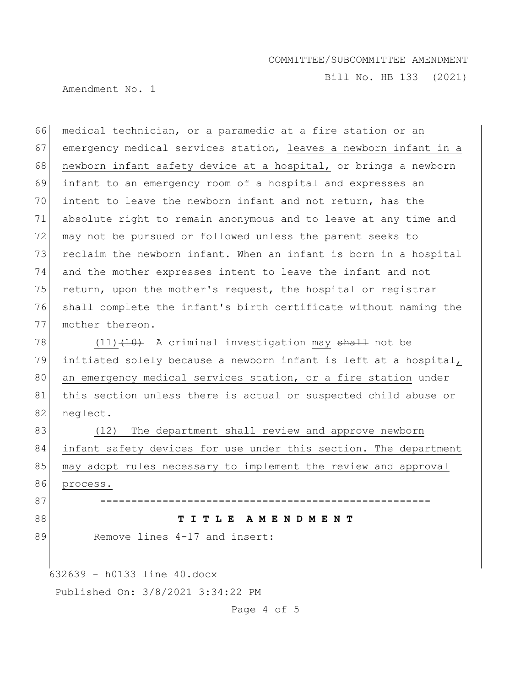Bill No. HB 133 (2021)

Amendment No. 1

66 medical technician, or a paramedic at a fire station or an 67 emergency medical services station, leaves a newborn infant in a 68 newborn infant safety device at a hospital, or brings a newborn 69 infant to an emergency room of a hospital and expresses an 70 intent to leave the newborn infant and not return, has the 71 absolute right to remain anonymous and to leave at any time and 72 may not be pursued or followed unless the parent seeks to 73 reclaim the newborn infant. When an infant is born in a hospital 74 and the mother expresses intent to leave the infant and not 75 return, upon the mother's request, the hospital or registrar 76 shall complete the infant's birth certificate without naming the 77 mother thereon.

78  $(11)$   $(10)$  A criminal investigation may shall not be 79 initiated solely because a newborn infant is left at a hospital, 80 an emergency medical services station, or a fire station under 81 | this section unless there is actual or suspected child abuse or 82 neglect.

83 (12) The department shall review and approve newborn 84 infant safety devices for use under this section. The department 85 may adopt rules necessary to implement the review and approval 86 process.

87 **-----------------------------------------------------**

#### 88 **T I T L E A M E N D M E N T**

89 Remove lines 4-17 and insert:

632639 - h0133 line 40.docx

Published On: 3/8/2021 3:34:22 PM

Page 4 of 5